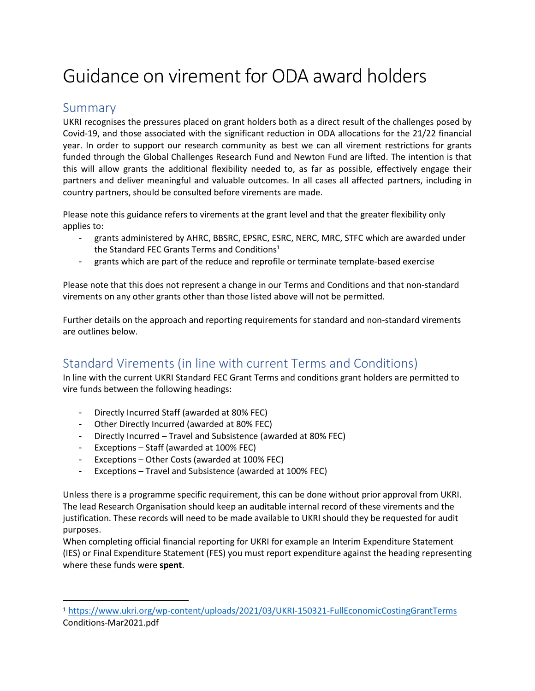# Guidance on virement for ODA award holders

#### Summary

UKRI recognises the pressures placed on grant holders both as a direct result of the challenges posed by Covid-19, and those associated with the significant reduction in ODA allocations for the 21/22 financial year. In order to support our research community as best we can all virement restrictions for grants funded through the Global Challenges Research Fund and Newton Fund are lifted. The intention is that this will allow grants the additional flexibility needed to, as far as possible, effectively engage their partners and deliver meaningful and valuable outcomes. In all cases all affected partners, including in country partners, should be consulted before virements are made.

Please note this guidance refers to virements at the grant level and that the greater flexibility only applies to:

- grants administered by AHRC, BBSRC, EPSRC, ESRC, NERC, MRC, STFC which are awarded under the Standard FEC Grants Terms and Conditions<sup>1</sup>
- grants which are part of the reduce and reprofile or terminate template-based exercise

Please note that this does not represent a change in our Terms and Conditions and that non-standard virements on any other grants other than those listed above will not be permitted.

Further details on the approach and reporting requirements for standard and non-standard virements are outlines below.

## Standard Virements (in line with current Terms and Conditions)

In line with the current UKRI Standard FEC Grant Terms and conditions grant holders are permitted to vire funds between the following headings:

- Directly Incurred Staff (awarded at 80% FEC)
- Other Directly Incurred (awarded at 80% FEC)
- Directly Incurred Travel and Subsistence (awarded at 80% FEC)
- Exceptions Staff (awarded at 100% FEC)
- Exceptions Other Costs (awarded at 100% FEC)
- Exceptions Travel and Subsistence (awarded at 100% FEC)

Unless there is a programme specific requirement, this can be done without prior approval from UKRI. The lead Research Organisation should keep an auditable internal record of these virements and the justification. These records will need to be made available to UKRI should they be requested for audit purposes.

When completing official financial reporting for UKRI for example an Interim Expenditure Statement (IES) or Final Expenditure Statement (FES) you must report expenditure against the heading representing where these funds were **spent**.

<sup>1</sup> <https://www.ukri.org/wp-content/uploads/2021/03/UKRI-150321-FullEconomicCostingGrantTerms> Conditions-Mar2021.pdf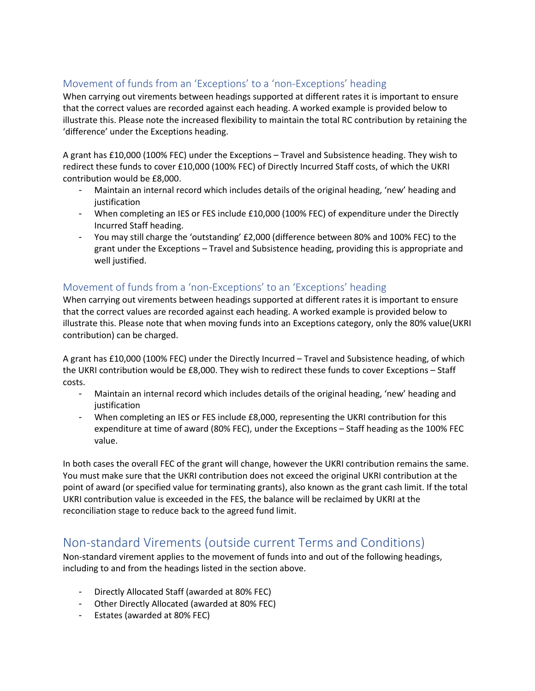#### Movement of funds from an 'Exceptions' to a 'non-Exceptions' heading

When carrying out virements between headings supported at different rates it is important to ensure that the correct values are recorded against each heading. A worked example is provided below to illustrate this. Please note the increased flexibility to maintain the total RC contribution by retaining the 'difference' under the Exceptions heading.

A grant has £10,000 (100% FEC) under the Exceptions – Travel and Subsistence heading. They wish to redirect these funds to cover £10,000 (100% FEC) of Directly Incurred Staff costs, of which the UKRI contribution would be £8,000.

- Maintain an internal record which includes details of the original heading, 'new' heading and justification
- When completing an IES or FES include £10,000 (100% FEC) of expenditure under the Directly Incurred Staff heading.
- You may still charge the 'outstanding' £2,000 (difference between 80% and 100% FEC) to the grant under the Exceptions – Travel and Subsistence heading, providing this is appropriate and well justified.

#### Movement of funds from a 'non-Exceptions' to an 'Exceptions' heading

When carrying out virements between headings supported at different rates it is important to ensure that the correct values are recorded against each heading. A worked example is provided below to illustrate this. Please note that when moving funds into an Exceptions category, only the 80% value(UKRI contribution) can be charged.

A grant has £10,000 (100% FEC) under the Directly Incurred – Travel and Subsistence heading, of which the UKRI contribution would be £8,000. They wish to redirect these funds to cover Exceptions – Staff costs.

- Maintain an internal record which includes details of the original heading, 'new' heading and justification
- When completing an IES or FES include £8,000, representing the UKRI contribution for this expenditure at time of award (80% FEC), under the Exceptions – Staff heading as the 100% FEC value.

In both cases the overall FEC of the grant will change, however the UKRI contribution remains the same. You must make sure that the UKRI contribution does not exceed the original UKRI contribution at the point of award (or specified value for terminating grants), also known as the grant cash limit. If the total UKRI contribution value is exceeded in the FES, the balance will be reclaimed by UKRI at the reconciliation stage to reduce back to the agreed fund limit.

### Non-standard Virements (outside current Terms and Conditions)

Non-standard virement applies to the movement of funds into and out of the following headings, including to and from the headings listed in the section above.

- Directly Allocated Staff (awarded at 80% FEC)
- Other Directly Allocated (awarded at 80% FEC)
- Estates (awarded at 80% FEC)